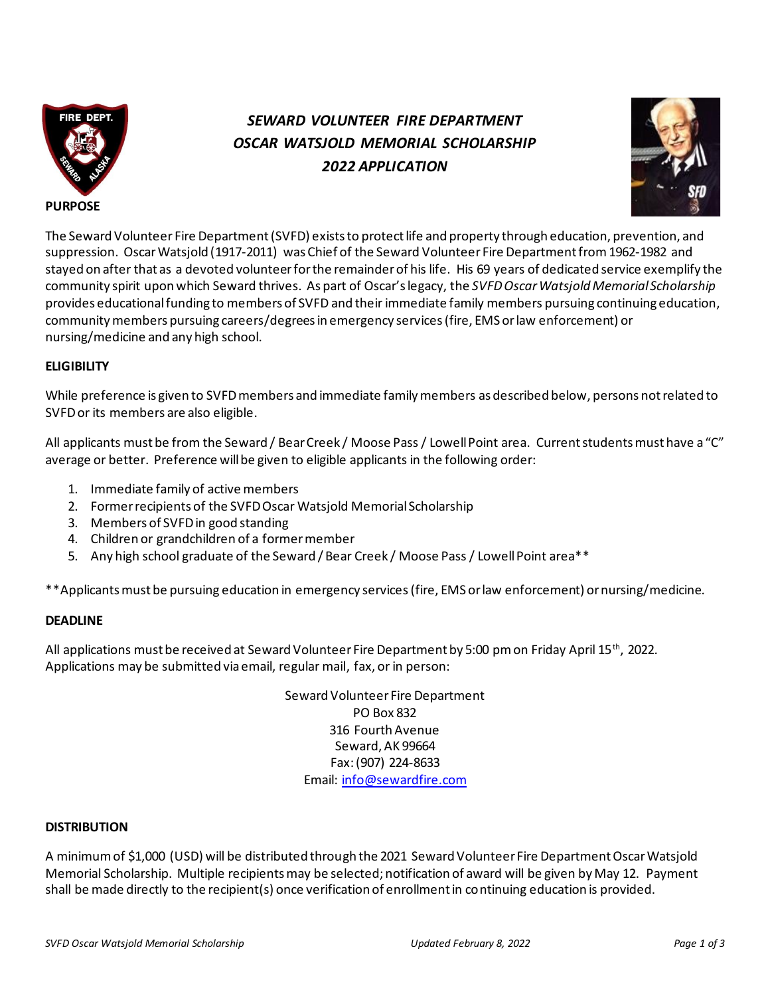

# *SEWARD VOLUNTEER FIRE DEPARTMENT OSCAR WATSJOLD MEMORIAL SCHOLARSHIP 2022 APPLICATION*



The Seward Volunteer Fire Department (SVFD) exists to protect life and property through education, prevention, and suppression. Oscar Watsjold (1917-2011) was Chief of the Seward Volunteer Fire Department from 1962-1982 and stayed on after that as a devoted volunteer for the remainder of his life. His 69 years of dedicated service exemplify the community spirit upon which Seward thrives. As part of Oscar's legacy, the *SVFD Oscar Watsjold Memorial Scholarship* provides educational funding to members of SVFD and their immediate family members pursuing continuing education, community members pursuing careers/degreesin emergency services(fire, EMS or law enforcement) or nursing/medicine and any high school.

# **ELIGIBILITY**

While preference is given to SVFD members and immediate family members as described below, persons not related to SVFDor its members are also eligible.

All applicants must be from the Seward / Bear Creek / Moose Pass / Lowell Point area. Current students must have a "C" average or better. Preference will be given to eligible applicants in the following order:

- 1. Immediate family of active members
- 2. Former recipients of the SVFD Oscar Watsjold Memorial Scholarship
- 3. Members of SVFDin good standing
- 4. Children or grandchildren of a former member
- 5. Any high school graduate of the Seward / Bear Creek / Moose Pass / Lowell Point area\*\*

\*\*Applicants must be pursuing education in emergency services(fire, EMS or law enforcement) or nursing/medicine.

# **DEADLINE**

All applications must be received at Seward Volunteer Fire Department by 5:00 pm on Friday April 15<sup>th</sup>, 2022. Applications may be submitted via email, regular mail, fax, or in person:

> Seward Volunteer Fire Department PO Box 832 316 Fourth Avenue Seward, AK 99664 Fax: (907) 224-8633 Email: info@sewardfire.com

#### **DISTRIBUTION**

A minimum of \$1,000 (USD) will be distributed through the 2021 Seward Volunteer Fire Department Oscar Watsjold Memorial Scholarship. Multiple recipients may be selected; notification of award will be given by May 12. Payment shall be made directly to the recipient(s) once verification of enrollment in continuing education is provided.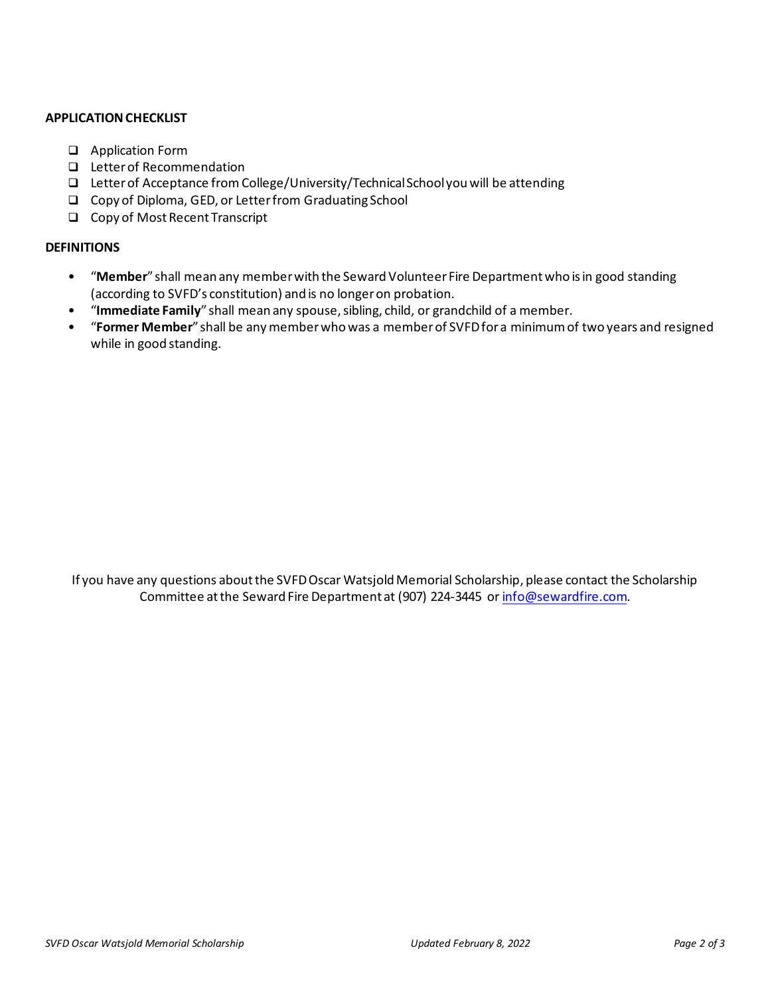## **APPLICATION CHECKLIST**

- ❑ Application Form
- ❑ Letter of Recommendation
- ❑ Letter of Acceptance from College/University/Technical School you will be attending
- ❑ Copy of Diploma, GED, or Letter from Graduating School
- ❑ Copy of Most Recent Transcript

## **DEFINITIONS**

- "**Member**" shall mean any member with the Seward Volunteer Fire Department who is in good standing (according to SVFD's constitution) and is no longer on probation.
- "**Immediate Family**" shall mean any spouse, sibling, child, or grandchild of a member.
- "**Former Member**" shall be any member who was a member of SVFD for a minimum of two years and resigned while in good standing.

If you have any questions about the SVFD Oscar Watsjold Memorial Scholarship, please contact the Scholarship Committee at the Seward Fire Department at (907) 224-3445 or info@sewardfire.com.